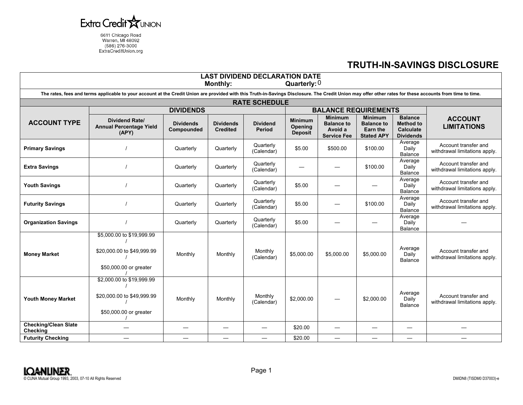

6611 Chicago Road<br>Warren, MI 48092<br>(586) 276-3000 ExtraCreditUnion.org

## **TRUTH-IN-SAVINGS DISCLOSURE**

| <b>LAST DIVIDEND DECLARATION DATE</b><br>Quarterly: $0$<br><b>Monthly:</b>                                                                                                                                |                                                                                   |                                |                                     |                           |                                             |                                                                      |                                                                             |                                                                            |                                                       |  |
|-----------------------------------------------------------------------------------------------------------------------------------------------------------------------------------------------------------|-----------------------------------------------------------------------------------|--------------------------------|-------------------------------------|---------------------------|---------------------------------------------|----------------------------------------------------------------------|-----------------------------------------------------------------------------|----------------------------------------------------------------------------|-------------------------------------------------------|--|
| The rates, fees and terms applicable to your account at the Credit Union are provided with this Truth-in-Savings Disclosure. The Credit Union may offer other rates for these accounts from time to time. |                                                                                   |                                |                                     |                           |                                             |                                                                      |                                                                             |                                                                            |                                                       |  |
| <b>RATE SCHEDULE</b>                                                                                                                                                                                      |                                                                                   |                                |                                     |                           |                                             |                                                                      |                                                                             |                                                                            |                                                       |  |
|                                                                                                                                                                                                           | <b>DIVIDENDS</b>                                                                  |                                |                                     |                           | <b>BALANCE REQUIREMENTS</b>                 |                                                                      |                                                                             |                                                                            |                                                       |  |
| <b>ACCOUNT TYPE</b>                                                                                                                                                                                       | <b>Dividend Rate/</b><br><b>Annual Percentage Yield</b><br>(APY)                  | <b>Dividends</b><br>Compounded | <b>Dividends</b><br><b>Credited</b> | <b>Dividend</b><br>Period | <b>Minimum</b><br>Opening<br><b>Deposit</b> | <b>Minimum</b><br><b>Balance to</b><br>Avoid a<br><b>Service Fee</b> | <b>Minimum</b><br><b>Balance to</b><br><b>Earn the</b><br><b>Stated APY</b> | <b>Balance</b><br><b>Method to</b><br><b>Calculate</b><br><b>Dividends</b> | <b>ACCOUNT</b><br><b>LIMITATIONS</b>                  |  |
| <b>Primary Savings</b>                                                                                                                                                                                    |                                                                                   | Quarterly                      | Quarterly                           | Quarterly<br>(Calendar)   | \$5.00                                      | \$500.00                                                             | \$100.00                                                                    | Average<br>Daily<br>Balance                                                | Account transfer and<br>withdrawal limitations apply. |  |
| <b>Extra Savings</b>                                                                                                                                                                                      |                                                                                   | Quarterly                      | Quarterly                           | Quarterly<br>(Calendar)   |                                             |                                                                      | \$100.00                                                                    | Average<br>Daily<br>Balance                                                | Account transfer and<br>withdrawal limitations apply. |  |
| <b>Youth Savings</b>                                                                                                                                                                                      |                                                                                   | Quarterly                      | Quarterly                           | Quarterly<br>(Calendar)   | \$5.00                                      |                                                                      |                                                                             | Average<br>Daily<br>Balance                                                | Account transfer and<br>withdrawal limitations apply. |  |
| <b>Futurity Savings</b>                                                                                                                                                                                   |                                                                                   | Quarterly                      | Quarterly                           | Quarterly<br>(Calendar)   | \$5.00                                      |                                                                      | \$100.00                                                                    | Average<br>Daily<br><b>Balance</b>                                         | Account transfer and<br>withdrawal limitations apply. |  |
| <b>Organization Savings</b>                                                                                                                                                                               |                                                                                   | Quarterly                      | Quarterly                           | Quarterly<br>(Calendar)   | \$5.00                                      |                                                                      |                                                                             | Average<br>Daily<br><b>Balance</b>                                         |                                                       |  |
| <b>Money Market</b>                                                                                                                                                                                       | \$5,000.00 to \$19,999.99<br>\$20,000.00 to \$49,999.99<br>\$50,000.00 or greater | Monthly                        | Monthly                             | Monthly<br>(Calendar)     | \$5,000.00                                  | \$5,000.00                                                           | \$5,000.00                                                                  | Average<br>Daily<br>Balance                                                | Account transfer and<br>withdrawal limitations apply. |  |
| <b>Youth Money Market</b>                                                                                                                                                                                 | \$2,000.00 to \$19,999.99<br>\$20,000.00 to \$49,999.99<br>\$50,000.00 or greater | Monthly                        | Monthly                             | Monthly<br>(Calendar)     | \$2,000.00                                  |                                                                      | \$2,000.00                                                                  | Average<br>Daily<br>Balance                                                | Account transfer and<br>withdrawal limitations apply. |  |
| <b>Checking/Clean Slate</b><br>Checking                                                                                                                                                                   |                                                                                   |                                |                                     |                           | \$20.00                                     |                                                                      |                                                                             |                                                                            |                                                       |  |
| <b>Futurity Checking</b>                                                                                                                                                                                  |                                                                                   |                                |                                     |                           | \$20.00                                     |                                                                      |                                                                             |                                                                            |                                                       |  |